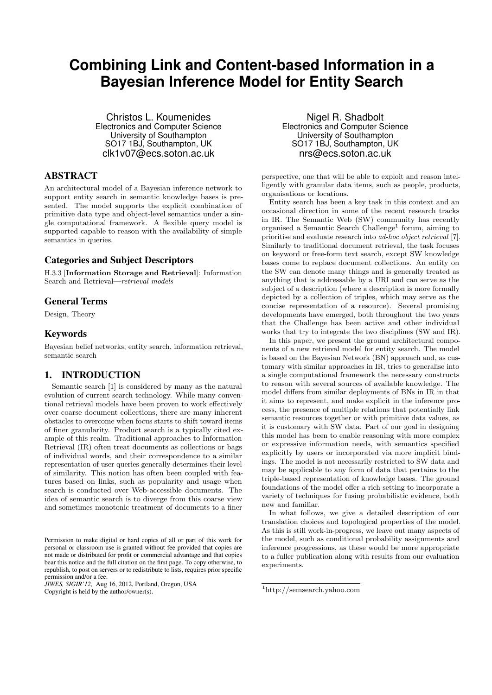# **Combining Link and Content-based Information in a Bayesian Inference Model for Entity Search**

Christos L. Koumenides Electronics and Computer Science University of Southampton SO17 1BJ, Southampton, UK clk1v07@ecs.soton.ac.uk

# ABSTRACT

An architectural model of a Bayesian inference network to support entity search in semantic knowledge bases is presented. The model supports the explicit combination of primitive data type and object-level semantics under a single computational framework. A flexible query model is supported capable to reason with the availability of simple semantics in queries.

# Categories and Subject Descriptors

H.3.3 [Information Storage and Retrieval]: Information Search and Retrieval—retrieval models

# General Terms

Design, Theory

# Keywords

Bayesian belief networks, entity search, information retrieval, semantic search

# 1. INTRODUCTION

Semantic search [1] is considered by many as the natural evolution of current search technology. While many conventional retrieval models have been proven to work effectively over coarse document collections, there are many inherent obstacles to overcome when focus starts to shift toward items of finer granularity. Product search is a typically cited example of this realm. Traditional approaches to Information Retrieval (IR) often treat documents as collections or bags of individual words, and their correspondence to a similar representation of user queries generally determines their level of similarity. This notion has often been coupled with features based on links, such as popularity and usage when search is conducted over Web-accessible documents. The idea of semantic search is to diverge from this coarse view and sometimes monotonic treatment of documents to a finer

*JIWES, SIGIR'12,* Aug 16, 2012, Portland, Oregon, USA Copyright is held by the author/owner(s).

Nigel R. Shadbolt Electronics and Computer Science University of Southampton SO17 1BJ, Southampton, UK nrs@ecs.soton.ac.uk

perspective, one that will be able to exploit and reason intelligently with granular data items, such as people, products, organisations or locations.

Entity search has been a key task in this context and an occasional direction in some of the recent research tracks in IR. The Semantic Web (SW) community has recently organised a Semantic Search Challenge<sup>1</sup> forum, aiming to prioritise and evaluate research into ad-hoc object retrieval [7]. Similarly to traditional document retrieval, the task focuses on keyword or free-form text search, except SW knowledge bases come to replace document collections. An entity on the SW can denote many things and is generally treated as anything that is addressable by a URI and can serve as the subject of a description (where a description is more formally depicted by a collection of triples, which may serve as the concise representation of a resource). Several promising developments have emerged, both throughout the two years that the Challenge has been active and other individual works that try to integrate the two disciplines (SW and IR).

In this paper, we present the ground architectural components of a new retrieval model for entity search. The model is based on the Bayesian Network (BN) approach and, as customary with similar approaches in IR, tries to generalise into a single computational framework the necessary constructs to reason with several sources of available knowledge. The model differs from similar deployments of BNs in IR in that it aims to represent, and make explicit in the inference process, the presence of multiple relations that potentially link semantic resources together or with primitive data values, as it is customary with SW data. Part of our goal in designing this model has been to enable reasoning with more complex or expressive information needs, with semantics specified explicitly by users or incorporated via more implicit bindings. The model is not necessarily restricted to SW data and may be applicable to any form of data that pertains to the triple-based representation of knowledge bases. The ground foundations of the model offer a rich setting to incorporate a variety of techniques for fusing probabilistic evidence, both new and familiar.

In what follows, we give a detailed description of our translation choices and topological properties of the model. As this is still work-in-progress, we leave out many aspects of the model, such as conditional probability assignments and inference progressions, as these would be more appropriate to a fuller publication along with results from our evaluation experiments.

<sup>1</sup>http://semsearch.yahoo.com

Permission to make digital or hard copies of all or part of this work for personal or classroom use is granted without fee provided that copies are not made or distributed for profit or commercial advantage and that copies bear this notice and the full citation on the first page. To copy otherwise, to republish, to post on servers or to redistribute to lists, requires prior specific permission and/or a fee.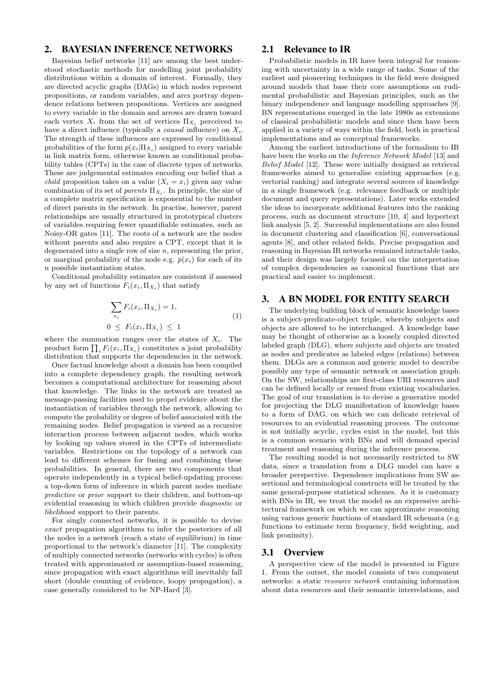### 2. BAYESIAN INFERENCE NETWORKS

Bayesian belief networks [11] are among the best understood stochastic methods for modelling joint probability distributions within a domain of interest. Formally, they are directed acyclic graphs (DAGs) in which nodes represent propositions, or random variables, and arcs portray dependence relations between propositions. Vertices are assigned to every variable in the domain and arrows are drawn toward each vertex  $X_i$  from the set of vertices  $\Pi_{X_i}$  perceived to have a direct influence (typically a *causal* influence) on  $X_i$ . The strength of these influences are expressed by conditional probabilities of the form  $p(x_i | \Pi_{X_i})$  assigned to every variable in link matrix form, otherwise known as conditional probability tables (CPTs) in the case of discrete types of networks. These are judgemental estimates encoding our belief that a *child* proposition takes on a value  $(X_i = x_i)$  given any value combination of its set of *parents*  $\Pi_{X_i}$ . In principle, the size of a complete matrix specification is exponential to the number of direct parents in the network. In practise, however, parent relationships are usually structured in prototypical clusters of variables requiring fewer quantifiable estimates, such as Noisy-OR gates [11]. The roots of a network are the nodes without parents and also require a CPT, except that it is degenerated into a single row of size  $n$ , representing the prior, or marginal probability of the node e.g.  $p(x_i)$  for each of its n possible instantiation states.

Conditional probability estimates are consistent if assessed by any set of functions  $F_i(x_i, \Pi_{X_i})$  that satisfy

$$
\sum_{x_i} F_i(x_i, \Pi_{X_i}) = 1,
$$
  
 
$$
0 \le F_i(x_i, \Pi_{X_i}) \le 1
$$
 (1)

where the summation ranges over the states of  $X_i$ . The product form  $\prod_i F_i(x_i, \Pi_{X_i})$  constitutes a joint probability distribution that supports the dependencies in the network.

Once factual knowledge about a domain has been compiled into a complete dependency graph, the resulting network becomes a computational architecture for reasoning about that knowledge. The links in the network are treated as message-passing facilities used to propel evidence about the instantiation of variables through the network, allowing to compute the probability or degree of belief associated with the remaining nodes. Belief propagation is viewed as a recursive interaction process between adjacent nodes, which works by looking up values stored in the CPTs of intermediate variables. Restrictions on the topology of a network can lead to different schemes for fusing and combining these probabilities. In general, there are two components that operate independently in a typical belief-updating process: a top-down form of inference in which parent nodes mediate predictive or prior support to their children, and bottom-up evidential reasoning in which children provide diagnostic or likelihood support to their parents.

For singly connected networks, it is possible to devise exact propagation algorithms to infer the posteriors of all the nodes in a network (reach a state of equilibrium) in time proportional to the network's diameter [11]. The complexity of multiply connected networks (networks with cycles) is often treated with approximated or assumption-based reasoning, since propagation with exact algorithms will inevitably fall short (double counting of evidence, loopy propagation), a case generally considered to be NP-Hard [3].

#### 2.1 Relevance to IR

Probabilistic models in IR have been integral for reasoning with uncertainty in a wide range of tasks. Some of the earliest and pioneering techniques in the field were designed around models that base their core assumptions on rudimental probabilistic and Bayesian principles, such as the binary independence and language modelling approaches [9]. BN representations emerged in the late 1980s as extensions of classical probabilistic models and since then have been applied in a variety of ways within the field, both in practical implementations and as conceptual frameworks.

Among the earliest introductions of the formalism to IR have been the works on the Inference Network Model [13] and Belief Model [12]. These were initially designed as retrieval frameworks aimed to generalise existing approaches (e.g. vectorial ranking) and integrate several sources of knowledge in a single framework (e.g. relevance feedback or multiple document and query representations). Later works extended the ideas to incorporate additional features into the ranking process, such as document structure [10, 4] and hypertext link analysis [5, 2]. Successful implementations are also found in document clustering and classification [6], conversational agents [8], and other related fields. Precise propagation and reasoning in Bayesian IR networks remained intractable tasks, and their design was largely focused on the interpretation of complex dependencies as canonical functions that are practical and easier to implement.

#### 3. A BN MODEL FOR ENTITY SEARCH

The underlying building block of semantic knowledge bases is a subject-predicate-object triple, whereby subjects and objects are allowed to be interchanged. A knowledge base may be thought of otherwise as a loosely coupled directed labeled graph (DLG), where subjects and objects are treated as nodes and predicates as labeled edges (relations) between them. DLGs are a common and generic model to describe possibly any type of semantic network or association graph. On the SW, relationships are first-class URI resources and can be defined locally or reused from existing vocabularies. The goal of our translation is to devise a generative model for projecting the DLG manifestation of knowledge bases to a form of DAG, on which we can delicate retrieval of resources to an evidential reasoning process. The outcome is not initially acyclic, cycles exist in the model, but this is a common scenario with BNs and will demand special treatment and reasoning during the inference process.

The resulting model is not necessarily restricted to SW data, since a translation from a DLG model can have a broader perspective. Dependence implications from SW assertional and terminological constructs will be treated by the same general-purpose statistical schemes. As it is customary with BNs in IR, we treat the model as an expressive architectural framework on which we can approximate reasoning using various generic functions of standard IR schemata (e.g. functions to estimate term frequency, field weighting, and link proximity).

#### 3.1 Overview

A perspective view of the model is presented in Figure 1. From the outset, the model consists of two component networks: a static resource network containing information about data resources and their semantic interrelations, and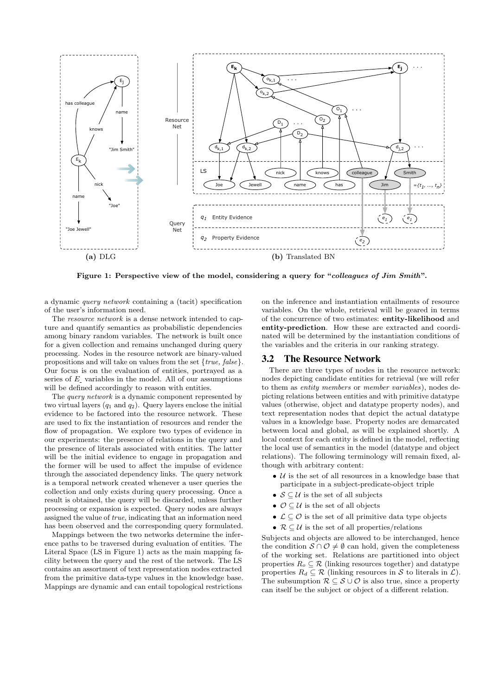

Figure 1: Perspective view of the model, considering a query for "colleagues of Jim Smith".

a dynamic query network containing a (tacit) specification of the user's information need.

The *resource network* is a dense network intended to capture and quantify semantics as probabilistic dependencies among binary random variables. The network is built once for a given collection and remains unchanged during query processing. Nodes in the resource network are binary-valued propositions and will take on values from the set  ${true, false}.$ Our focus is on the evaluation of entities, portrayed as a series of  $E_{\perp}$  variables in the model. All of our assumptions will be defined accordingly to reason with entities.

The *query network* is a dynamic component represented by two virtual layers  $(q_1 \text{ and } q_2)$ . Query layers enclose the initial evidence to be factored into the resource network. These are used to fix the instantiation of resources and render the flow of propagation. We explore two types of evidence in our experiments: the presence of relations in the query and the presence of literals associated with entities. The latter will be the initial evidence to engage in propagation and the former will be used to affect the impulse of evidence through the associated dependency links. The query network is a temporal network created whenever a user queries the collection and only exists during query processing. Once a result is obtained, the query will be discarded, unless further processing or expansion is expected. Query nodes are always assigned the value of true, indicating that an information need has been observed and the corresponding query formulated.

Mappings between the two networks determine the inference paths to be traversed during evaluation of entities. The Literal Space (LS in Figure 1) acts as the main mapping facility between the query and the rest of the network. The LS contains an assortment of text representation nodes extracted from the primitive data-type values in the knowledge base. Mappings are dynamic and can entail topological restrictions

on the inference and instantiation entailments of resource variables. On the whole, retrieval will be geared in terms of the concurrence of two estimates: entity-likelihood and entity-prediction. How these are extracted and coordinated will be determined by the instantiation conditions of the variables and the criteria in our ranking strategy.

#### 3.2 The Resource Network

There are three types of nodes in the resource network: nodes depicting candidate entities for retrieval (we will refer to them as entity members or member variables), nodes depicting relations between entities and with primitive datatype values (otherwise, object and datatype property nodes), and text representation nodes that depict the actual datatype values in a knowledge base. Property nodes are demarcated between local and global, as will be explained shortly. A local context for each entity is defined in the model, reflecting the local use of semantics in the model (datatype and object relations). The following terminology will remain fixed, although with arbitrary content:

- $\bullet$   $\mathcal U$  is the set of all resources in a knowledge base that participate in a subject-predicate-object triple
- $S \subseteq \mathcal{U}$  is the set of all subjects
- $\mathcal{O} \subset \mathcal{U}$  is the set of all objects
- $\mathcal{L} \subseteq \mathcal{O}$  is the set of all primitive data type objects
- $\mathcal{R} \subseteq \mathcal{U}$  is the set of all properties/relations

Subjects and objects are allowed to be interchanged, hence the condition  $S \cap \mathcal{O} \neq \emptyset$  can hold, given the completeness of the working set. Relations are partitioned into object properties  $R_o \subseteq \mathcal{R}$  (linking resources together) and datatype properties  $R_d \subseteq \mathcal{R}$  (linking resources in S to literals in  $\mathcal{L}$ ). The subsumption  $\mathcal{R} \subseteq \mathcal{S} \cup \mathcal{O}$  is also true, since a property can itself be the subject or object of a different relation.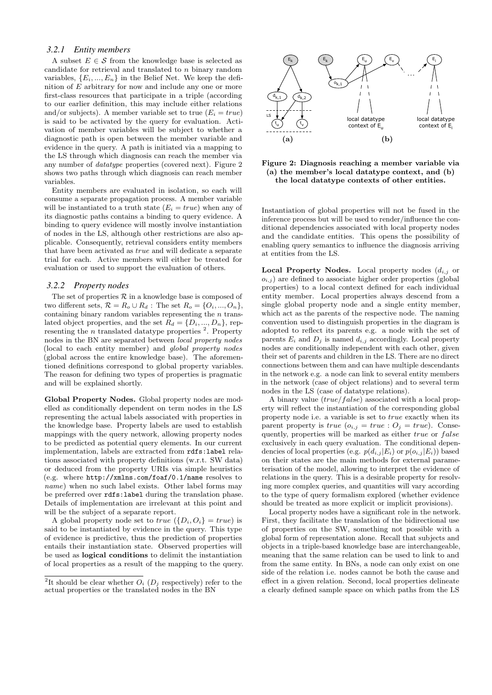#### *3.2.1 Entity members*

A subset  $E \in \mathcal{S}$  from the knowledge base is selected as candidate for retrieval and translated to n binary random variables,  $\{E_i, ..., E_n\}$  in the Belief Net. We keep the definition of  $E$  arbitrary for now and include any one or more first-class resources that participate in a triple (according to our earlier definition, this may include either relations and/or subjects). A member variable set to true  $(E_i = true)$ is said to be activated by the query for evaluation. Activation of member variables will be subject to whether a diagnostic path is open between the member variable and evidence in the query. A path is initiated via a mapping to the LS through which diagnosis can reach the member via any number of datatype properties (covered next). Figure 2 shows two paths through which diagnosis can reach member variables.

Entity members are evaluated in isolation, so each will consume a separate propagation process. A member variable will be instantiated to a truth state  $(E_i = true)$  when any of its diagnostic paths contains a binding to query evidence. A binding to query evidence will mostly involve instantiation of nodes in the LS, although other restrictions are also applicable. Consequently, retrieval considers entity members that have been activated as true and will dedicate a separate trial for each. Active members will either be treated for evaluation or used to support the evaluation of others.

#### *3.2.2 Property nodes*

The set of properties  $\mathcal R$  in a knowledge base is composed of two different sets,  $\mathcal{R} = R_o \cup R_d$ : The set  $R_o = \{O_i, ..., O_n\}$ , containing binary random variables representing the n translated object properties, and the set  $R_d = \{D_i, ..., D_n\}$ , representing the *n* translated datatype properties  $2$ . Property nodes in the BN are separated between local property nodes (local to each entity member) and global property nodes (global across the entire knowledge base). The aforementioned definitions correspond to global property variables. The reason for defining two types of properties is pragmatic and will be explained shortly.

Global Property Nodes. Global property nodes are modelled as conditionally dependent on term nodes in the LS representing the actual labels associated with properties in the knowledge base. Property labels are used to establish mappings with the query network, allowing property nodes to be predicted as potential query elements. In our current implementation, labels are extracted from rdfs:label relations associated with property definitions (w.r.t. SW data) or deduced from the property URIs via simple heuristics (e.g. where http://xmlns.com/foaf/0.1/name resolves to name) when no such label exists. Other label forms may be preferred over rdfs:label during the translation phase. Details of implementation are irrelevant at this point and will be the subject of a separate report.

A global property node set to true  $({D_i, O_i}) = true$  is said to be instantiated by evidence in the query. This type of evidence is predictive, thus the prediction of properties entails their instantiation state. Observed properties will be used as logical conditions to delimit the instantiation of local properties as a result of the mapping to the query.



Figure 2: Diagnosis reaching a member variable via (a) the member's local datatype context, and (b) the local datatype contexts of other entities.

Instantiation of global properties will not be fused in the inference process but will be used to render/influence the conditional dependencies associated with local property nodes and the candidate entities. This opens the possibility of enabling query semantics to influence the diagnosis arriving at entities from the LS.

**Local Property Nodes.** Local property nodes  $(d_{i,j}$  or  $o_{i,j}$ ) are defined to associate higher order properties (global properties) to a local context defined for each individual entity member. Local properties always descend from a single global property node and a single entity member, which act as the parents of the respective node. The naming convention used to distinguish properties in the diagram is adopted to reflect its parents e.g. a node with the set of parents  $E_i$  and  $D_j$  is named  $d_{i,j}$  accordingly. Local property nodes are conditionally independent with each other, given their set of parents and children in the LS. There are no direct connections between them and can have multiple descendants in the network e.g. a node can link to several entity members in the network (case of object relations) and to several term nodes in the LS (case of datatype relations).

A binary value  $(true/false)$  associated with a local property will reflect the instantiation of the corresponding global property node i.e. a variable is set to true exactly when its parent property is true  $(o_{i,j} = true : O_j = true)$ . Consequently, properties will be marked as either *true* or *false* exclusively in each query evaluation. The conditional dependencies of local properties (e.g.  $p(d_{i,j} | E_i)$  or  $p(o_{i,j} | E_i)$ ) based on their states are the main methods for external parameterisation of the model, allowing to interpret the evidence of relations in the query. This is a desirable property for resolving more complex queries, and quantities will vary according to the type of query formalism explored (whether evidence should be treated as more explicit or implicit provisions).

Local property nodes have a significant role in the network. First, they facilitate the translation of the bidirectional use of properties on the SW, something not possible with a global form of representation alone. Recall that subjects and objects in a triple-based knowledge base are interchangeable, meaning that the same relation can be used to link to and from the same entity. In BNs, a node can only exist on one side of the relation i.e. nodes cannot be both the cause and effect in a given relation. Second, local properties delineate a clearly defined sample space on which paths from the LS

<sup>&</sup>lt;sup>2</sup>It should be clear whether  $O_i$  ( $D_j$  respectively) refer to the actual properties or the translated nodes in the BN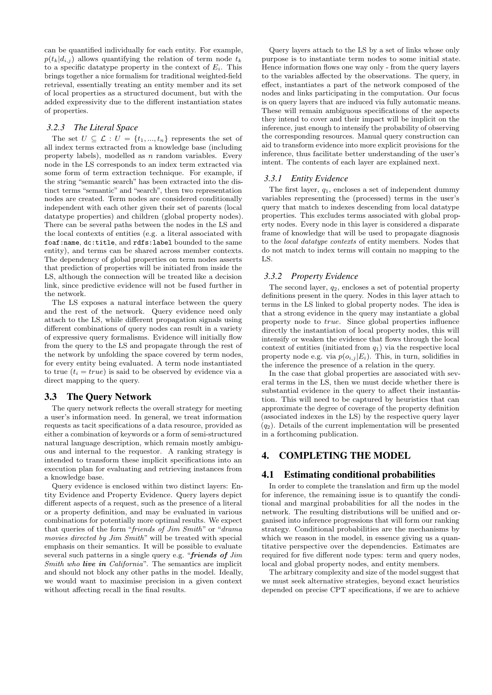can be quantified individually for each entity. For example,  $p(t_k|d_{i,i})$  allows quantifying the relation of term node  $t_k$ to a specific datatype property in the context of  $E_i$ . This brings together a nice formalism for traditional weighted-field retrieval, essentially treating an entity member and its set of local properties as a structured document, but with the added expressivity due to the different instantiation states of properties.

#### *3.2.3 The Literal Space*

The set  $U \subseteq \mathcal{L} : U = \{t_1, ..., t_n\}$  represents the set of all index terms extracted from a knowledge base (including property labels), modelled as  $n$  random variables. Every node in the LS corresponds to an index term extracted via some form of term extraction technique. For example, if the string "semantic search" has been extracted into the distinct terms "semantic" and "search", then two representation nodes are created. Term nodes are considered conditionally independent with each other given their set of parents (local datatype properties) and children (global property nodes). There can be several paths between the nodes in the LS and the local contexts of entities (e.g. a literal associated with foaf:name, dc:title, and rdfs:label bounded to the same entity), and terms can be shared across member contexts. The dependency of global properties on term nodes asserts that prediction of properties will be initiated from inside the LS, although the connection will be treated like a decision link, since predictive evidence will not be fused further in the network.

The LS exposes a natural interface between the query and the rest of the network. Query evidence need only attach to the LS, while different propagation signals using different combinations of query nodes can result in a variety of expressive query formalisms. Evidence will initially flow from the query to the LS and propagate through the rest of the network by unfolding the space covered by term nodes, for every entity being evaluated. A term node instantiated to true  $(t<sub>i</sub> = true)$  is said to be observed by evidence via a direct mapping to the query.

#### 3.3 The Query Network

The query network reflects the overall strategy for meeting a user's information need. In general, we treat information requests as tacit specifications of a data resource, provided as either a combination of keywords or a form of semi-structured natural language description, which remain mostly ambiguous and internal to the requestor. A ranking strategy is intended to transform these implicit specifications into an execution plan for evaluating and retrieving instances from a knowledge base.

Query evidence is enclosed within two distinct layers: Entity Evidence and Property Evidence. Query layers depict different aspects of a request, such as the presence of a literal or a property definition, and may be evaluated in various combinations for potentially more optimal results. We expect that queries of the form "friends of Jim Smith" or "drama movies directed by Jim Smith" will be treated with special emphasis on their semantics. It will be possible to evaluate several such patterns in a single query e.g. "friends of  $Jim$ Smith who live in California". The semantics are implicit and should not block any other paths in the model. Ideally, we would want to maximise precision in a given context without affecting recall in the final results.

Query layers attach to the LS by a set of links whose only purpose is to instantiate term nodes to some initial state. Hence information flows one way only - from the query layers to the variables affected by the observations. The query, in effect, instantiates a part of the network composed of the nodes and links participating in the computation. Our focus is on query layers that are induced via fully automatic means. These will remain ambiguous specifications of the aspects they intend to cover and their impact will be implicit on the inference, just enough to intensify the probability of observing the corresponding resources. Manual query construction can aid to transform evidence into more explicit provisions for the inference, thus facilitate better understanding of the user's intent. The contents of each layer are explained next.

#### *3.3.1 Entity Evidence*

The first layer,  $q_1$ , encloses a set of independent dummy variables representing the (processed) terms in the user's query that match to indexes descending from local datatype properties. This excludes terms associated with global property nodes. Every node in this layer is considered a disparate frame of knowledge that will be used to propagate diagnosis to the local datatype contexts of entity members. Nodes that do not match to index terms will contain no mapping to the LS.

#### *3.3.2 Property Evidence*

The second layer,  $q_2$ , encloses a set of potential property definitions present in the query. Nodes in this layer attach to terms in the LS linked to global property nodes. The idea is that a strong evidence in the query may instantiate a global property node to true. Since global properties influence directly the instantiation of local property nodes, this will intensify or weaken the evidence that flows through the local context of entities (initiated from  $q_1$ ) via the respective local property node e.g. via  $p(o_{i,j} | E_i)$ . This, in turn, solidifies in the inference the presence of a relation in the query.

In the case that global properties are associated with several terms in the LS, then we must decide whether there is substantial evidence in the query to affect their instantiation. This will need to be captured by heuristics that can approximate the degree of coverage of the property definition (associated indexes in the LS) by the respective query layer  $(q_2)$ . Details of the current implementation will be presented in a forthcoming publication.

# 4. COMPLETING THE MODEL

#### 4.1 Estimating conditional probabilities

In order to complete the translation and firm up the model for inference, the remaining issue is to quantify the conditional and marginal probabilities for all the nodes in the network. The resulting distributions will be unified and organised into inference progressions that will form our ranking strategy. Conditional probabilities are the mechanisms by which we reason in the model, in essence giving us a quantitative perspective over the dependencies. Estimates are required for five different node types: term and query nodes, local and global property nodes, and entity members.

The arbitrary complexity and size of the model suggest that we must seek alternative strategies, beyond exact heuristics depended on precise CPT specifications, if we are to achieve